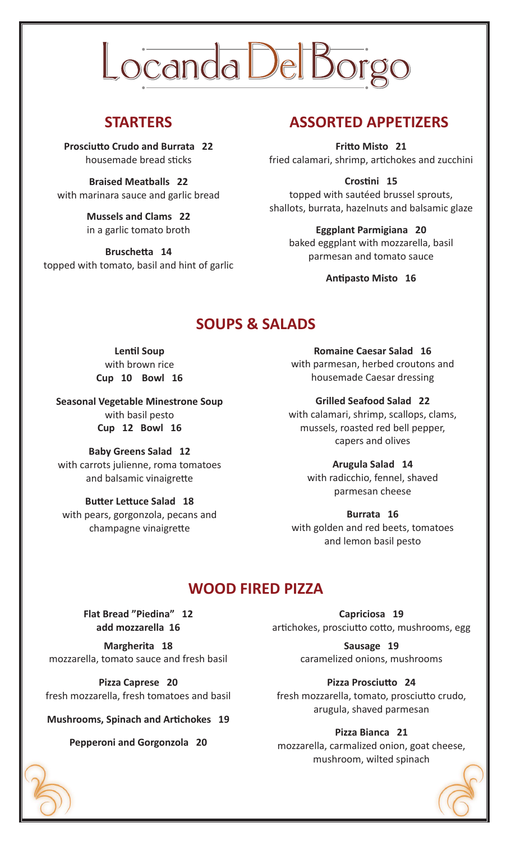# Locanda Del Bor

**Prosciutto Crudo and Burrata 22** housemade bread sticks

**Braised Meatballs 22** with marinara sauce and garlic bread

> **Mussels and Clams 22** in a garlic tomato broth

**Bruschetta 14** topped with tomato, basil and hint of garlic

# **STARTERS ASSORTED APPETIZERS**

**Fritto Misto 21** fried calamari, shrimp, artichokes and zucchini

**Crostini 15**

topped with sautéed brussel sprouts, shallots, burrata, hazelnuts and balsamic glaze

#### **Eggplant Parmigiana 20**

baked eggplant with mozzarella, basil parmesan and tomato sauce

**Antipasto Misto 16**

# **SOUPS & SALADS**

**Lentil Soup** with brown rice **Cup 10 Bowl 16**

**Seasonal Vegetable Minestrone Soup** with basil pesto **Cup 12 Bowl 16**

**Baby Greens Salad 12** with carrots julienne, roma tomatoes and balsamic vinaigrette

**Butter Lettuce Salad 18** with pears, gorgonzola, pecans and champagne vinaigrette

**Romaine Caesar Salad 16** with parmesan, herbed croutons and

**Grilled Seafood Salad 22** with calamari, shrimp, scallops, clams, mussels, roasted red bell pepper, capers and olives

housemade Caesar dressing

**Arugula Salad 14** with radicchio, fennel, shaved parmesan cheese

**Burrata 16** with golden and red beets, tomatoes and lemon basil pesto

# **WOOD FIRED PIZZA**

**Flat Bread "Piedina" 12 add mozzarella 16**

**Margherita 18** mozzarella, tomato sauce and fresh basil

**Pizza Caprese 20** fresh mozzarella, fresh tomatoes and basil

**Mushrooms, Spinach and Artichokes 19**

**Pepperoni and Gorgonzola 20**

**Capriciosa 19** artichokes, prosciutto cotto, mushrooms, egg

> **Sausage 19** caramelized onions, mushrooms

> > **Pizza Prosciutto 24**

fresh mozzarella, tomato, prosciutto crudo, arugula, shaved parmesan

### **Pizza Bianca 21**

mozzarella, carmalized onion, goat cheese, mushroom, wilted spinach